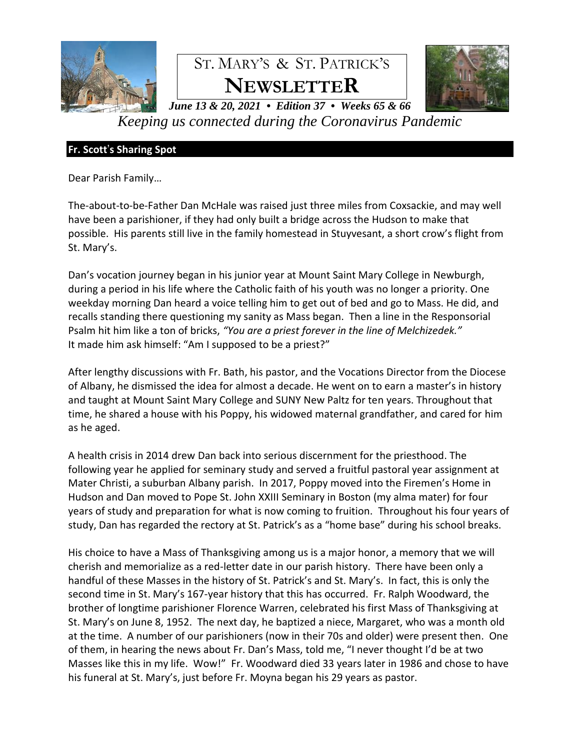

# ST. MARY'S & ST. PATRICK'S **NEWSLETTER**



*June 13 & 20, 2021 • Edition 37 • Weeks 65 & 66 Keeping us connected during the Coronavirus Pandemic*

# **Fr. Scott**'**s Sharing Spot**

Dear Parish Family…

The-about-to-be-Father Dan McHale was raised just three miles from Coxsackie, and may well have been a parishioner, if they had only built a bridge across the Hudson to make that possible. His parents still live in the family homestead in Stuyvesant, a short crow's flight from St. Mary's.

Dan's vocation journey began in his junior year at Mount Saint Mary College in Newburgh, during a period in his life where the Catholic faith of his youth was no longer a priority. One weekday morning Dan heard a voice telling him to get out of bed and go to Mass. He did, and recalls standing there questioning my sanity as Mass began. Then a line in the Responsorial Psalm hit him like a ton of bricks, *"You are a priest forever in the line of Melchizedek."* It made him ask himself: "Am I supposed to be a priest?"

After lengthy discussions with Fr. Bath, his pastor, and the Vocations Director from the Diocese of Albany, he dismissed the idea for almost a decade. He went on to earn a master's in history and taught at Mount Saint Mary College and SUNY New Paltz for ten years. Throughout that time, he shared a house with his Poppy, his widowed maternal grandfather, and cared for him as he aged.

A health crisis in 2014 drew Dan back into serious discernment for the priesthood. The following year he applied for seminary study and served a fruitful pastoral year assignment at Mater Christi, a suburban Albany parish. In 2017, Poppy moved into the Firemen's Home in Hudson and Dan moved to Pope St. John XXIII Seminary in Boston (my alma mater) for four years of study and preparation for what is now coming to fruition. Throughout his four years of study, Dan has regarded the rectory at St. Patrick's as a "home base" during his school breaks.

His choice to have a Mass of Thanksgiving among us is a major honor, a memory that we will cherish and memorialize as a red-letter date in our parish history. There have been only a handful of these Masses in the history of St. Patrick's and St. Mary's. In fact, this is only the second time in St. Mary's 167-year history that this has occurred. Fr. Ralph Woodward, the brother of longtime parishioner Florence Warren, celebrated his first Mass of Thanksgiving at St. Mary's on June 8, 1952. The next day, he baptized a niece, Margaret, who was a month old at the time. A number of our parishioners (now in their 70s and older) were present then. One of them, in hearing the news about Fr. Dan's Mass, told me, "I never thought I'd be at two Masses like this in my life. Wow!" Fr. Woodward died 33 years later in 1986 and chose to have his funeral at St. Mary's, just before Fr. Moyna began his 29 years as pastor.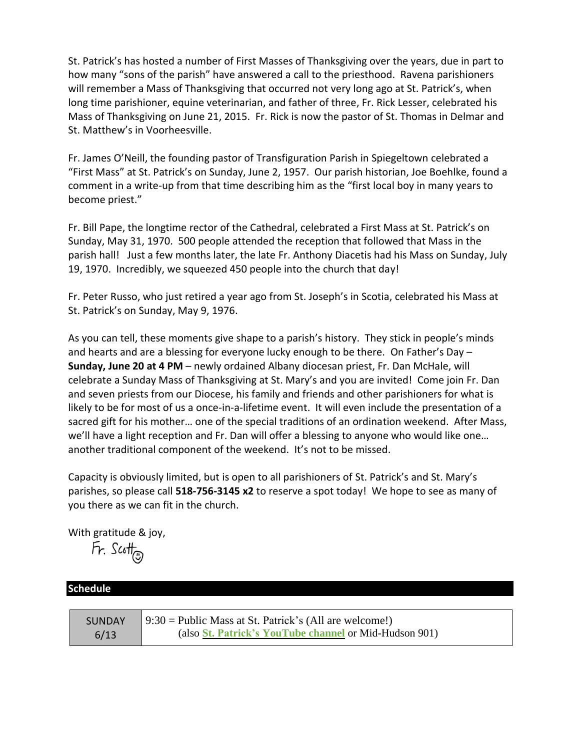St. Patrick's has hosted a number of First Masses of Thanksgiving over the years, due in part to how many "sons of the parish" have answered a call to the priesthood. Ravena parishioners will remember a Mass of Thanksgiving that occurred not very long ago at St. Patrick's, when long time parishioner, equine veterinarian, and father of three, Fr. Rick Lesser, celebrated his Mass of Thanksgiving on June 21, 2015. Fr. Rick is now the pastor of St. Thomas in Delmar and St. Matthew's in Voorheesville.

Fr. James O'Neill, the founding pastor of Transfiguration Parish in Spiegeltown celebrated a "First Mass" at St. Patrick's on Sunday, June 2, 1957. Our parish historian, Joe Boehlke, found a comment in a write-up from that time describing him as the "first local boy in many years to become priest."

Fr. Bill Pape, the longtime rector of the Cathedral, celebrated a First Mass at St. Patrick's on Sunday, May 31, 1970. 500 people attended the reception that followed that Mass in the parish hall! Just a few months later, the late Fr. Anthony Diacetis had his Mass on Sunday, July 19, 1970. Incredibly, we squeezed 450 people into the church that day!

Fr. Peter Russo, who just retired a year ago from St. Joseph's in Scotia, celebrated his Mass at St. Patrick's on Sunday, May 9, 1976.

As you can tell, these moments give shape to a parish's history. They stick in people's minds and hearts and are a blessing for everyone lucky enough to be there. On Father's Day – **Sunday, June 20 at 4 PM** – newly ordained Albany diocesan priest, Fr. Dan McHale, will celebrate a Sunday Mass of Thanksgiving at St. Mary's and you are invited! Come join Fr. Dan and seven priests from our Diocese, his family and friends and other parishioners for what is likely to be for most of us a once-in-a-lifetime event. It will even include the presentation of a sacred gift for his mother… one of the special traditions of an ordination weekend. After Mass, we'll have a light reception and Fr. Dan will offer a blessing to anyone who would like one… another traditional component of the weekend. It's not to be missed.

Capacity is obviously limited, but is open to all parishioners of St. Patrick's and St. Mary's parishes, so please call **518-756-3145 x2** to reserve a spot today! We hope to see as many of you there as we can fit in the church.

With gratitude & joy,

 $Fr.$  Scott

# **Schedule**

| <b>SUNDAY</b> | $\vert$ 9:30 = Public Mass at St. Patrick's (All are welcome!) |
|---------------|----------------------------------------------------------------|
| 6/13          | (also St. Patrick's YouTube channel or Mid-Hudson 901)         |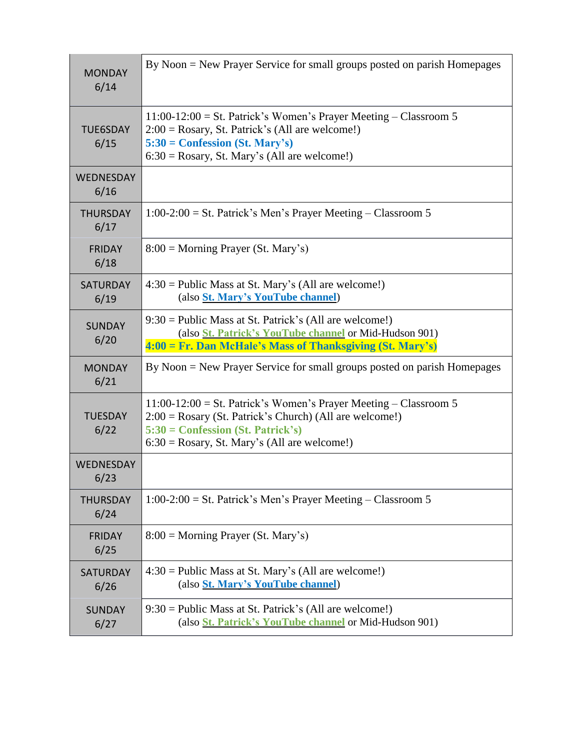| <b>MONDAY</b><br>6/14   | By Noon = New Prayer Service for small groups posted on parish Homepages                                                                                                                                                  |
|-------------------------|---------------------------------------------------------------------------------------------------------------------------------------------------------------------------------------------------------------------------|
| <b>TUE6SDAY</b><br>6/15 | $11:00-12:00 =$ St. Patrick's Women's Prayer Meeting - Classroom 5<br>$2:00 = Rosary$ , St. Patrick's (All are welcome!)<br>$5:30 =$ Confession (St. Mary's)<br>$6:30 = Rosary$ , St. Mary's (All are welcome!)           |
| WEDNESDAY<br>6/16       |                                                                                                                                                                                                                           |
| <b>THURSDAY</b><br>6/17 | $1:00-2:00 =$ St. Patrick's Men's Prayer Meeting – Classroom 5                                                                                                                                                            |
| <b>FRIDAY</b><br>6/18   | $8:00 =$ Morning Prayer (St. Mary's)                                                                                                                                                                                      |
| <b>SATURDAY</b><br>6/19 | $4:30 =$ Public Mass at St. Mary's (All are welcome!)<br>(also St. Mary's YouTube channel)                                                                                                                                |
| <b>SUNDAY</b><br>6/20   | $9:30 =$ Public Mass at St. Patrick's (All are welcome!)<br>(also <i>St. Patrick's YouTube channel</i> or Mid-Hudson 901)<br>4:00 = Fr. Dan McHale's Mass of Thanksgiving (St. Mary's)                                    |
| <b>MONDAY</b><br>6/21   | By Noon = New Prayer Service for small groups posted on parish Homepages                                                                                                                                                  |
| <b>TUESDAY</b><br>6/22  | $11:00-12:00 =$ St. Patrick's Women's Prayer Meeting – Classroom 5<br>$2:00 = Rosary$ (St. Patrick's Church) (All are welcome!)<br>$5:30 =$ Confession (St. Patrick's)<br>$6:30 = Rosary$ , St. Mary's (All are welcome!) |
| WEDNESDAY<br>6/23       |                                                                                                                                                                                                                           |
| <b>THURSDAY</b><br>6/24 | $1:00-2:00 =$ St. Patrick's Men's Prayer Meeting – Classroom 5                                                                                                                                                            |
| <b>FRIDAY</b><br>6/25   | $8:00 =$ Morning Prayer (St. Mary's)                                                                                                                                                                                      |
| <b>SATURDAY</b><br>6/26 | $4:30 =$ Public Mass at St. Mary's (All are welcome!)                                                                                                                                                                     |
|                         | (also St. Mary's YouTube channel)                                                                                                                                                                                         |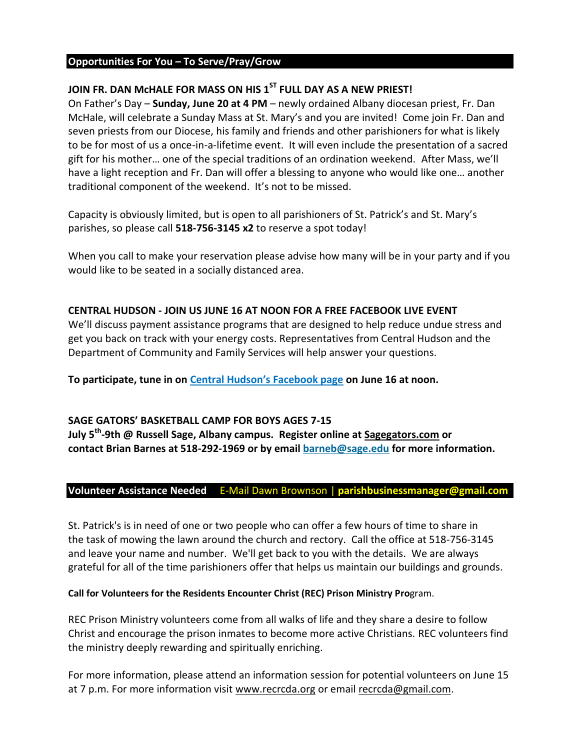# **Opportunities For You – To Serve/Pray/Grow**

## **JOIN FR. DAN McHALE FOR MASS ON HIS 1ST FULL DAY AS A NEW PRIEST!**

On Father's Day – **Sunday, June 20 at 4 PM** – newly ordained Albany diocesan priest, Fr. Dan McHale, will celebrate a Sunday Mass at St. Mary's and you are invited! Come join Fr. Dan and seven priests from our Diocese, his family and friends and other parishioners for what is likely to be for most of us a once-in-a-lifetime event. It will even include the presentation of a sacred gift for his mother… one of the special traditions of an ordination weekend. After Mass, we'll have a light reception and Fr. Dan will offer a blessing to anyone who would like one… another traditional component of the weekend. It's not to be missed.

Capacity is obviously limited, but is open to all parishioners of St. Patrick's and St. Mary's parishes, so please call **518-756-3145 x2** to reserve a spot today!

When you call to make your reservation please advise how many will be in your party and if you would like to be seated in a socially distanced area.

#### **CENTRAL HUDSON - JOIN US JUNE 16 AT NOON FOR A FREE FACEBOOK LIVE EVENT**

We'll discuss payment assistance programs that are designed to help reduce undue stress and get you back on track with your energy costs. Representatives from Central Hudson and the Department of Community and Family Services will help answer your questions.

**To participate, tune in on [Central Hudson's Facebook page](http://go2.mailengine1.com/click/fdwk-2ejjql-6hw46i-9o15fzz7/) on June 16 at noon.**

### **SAGE GATORS' BASKETBALL CAMP FOR BOYS AGES 7-15**

**July 5th -9th @ Russell Sage, Albany campus. Register online at [Sagegators.com](http://sagegators.com/) or contact Brian Barnes at 518-292-1969 or by email [barneb@sage.edu](mailto:barneb@sage.edu) for more information.**

### **Volunteer Assistance Needed** E-Mail Dawn Brownson | **parishbusinessmanager@gmail.com**

St. Patrick's is in need of one or two people who can offer a few hours of time to share in the task of mowing the lawn around the church and rectory. Call the office at 518-756-3145 and leave your name and number. We'll get back to you with the details. We are always grateful for all of the time parishioners offer that helps us maintain our buildings and grounds.

#### **Call for Volunteers for the Residents Encounter Christ (REC) Prison Ministry Pro**gram.

REC Prison Ministry volunteers come from all walks of life and they share a desire to follow Christ and encourage the prison inmates to become more active Christians. REC volunteers find the ministry deeply rewarding and spiritually enriching.

For more information, please attend an information session for potential volunteers on June 15 at 7 p.m. For more information visit [www.recrcda.org](http://www.recrcda.org/) or email [recrcda@gmail.com.](mailto:recrcda@gmail.com)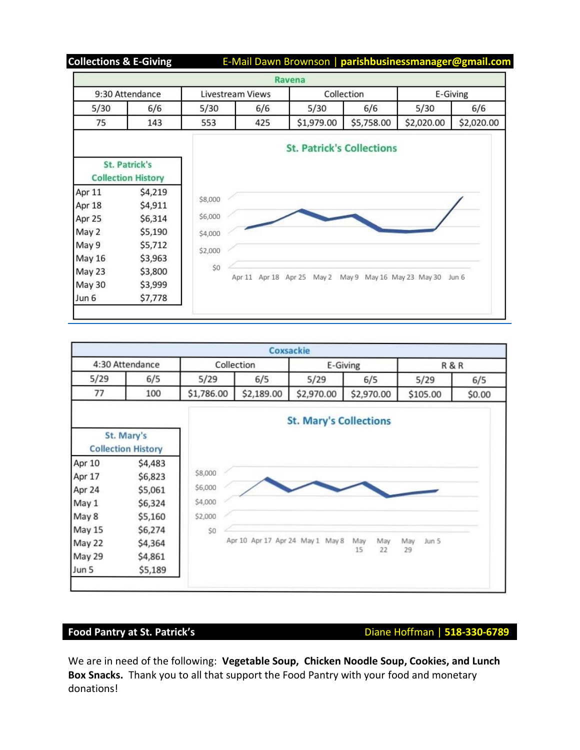**Collections & E-Giving** E-Mail Dawn Brownson | **parishbusinessmanager@gmail.com**

|                                                   |         |                  |               | Ravena                           |                            |            |            |
|---------------------------------------------------|---------|------------------|---------------|----------------------------------|----------------------------|------------|------------|
| 9:30 Attendance                                   |         | Livestream Views |               | Collection                       |                            | E-Giving   |            |
| 5/30                                              | 6/6     | 5/30             | 6/6           | 5/30                             | 6/6                        | 5/30       | 6/6        |
| 75                                                | 143     | 553              | 425           | \$1,979.00                       | \$5,758.00                 | \$2,020.00 | \$2,020.00 |
|                                                   |         |                  |               | <b>St. Patrick's Collections</b> |                            |            |            |
| <b>St. Patrick's</b><br><b>Collection History</b> |         |                  |               |                                  |                            |            |            |
| Apr 11                                            | \$4,219 |                  |               |                                  |                            |            |            |
| Apr 18                                            | \$4,911 | \$8,000          |               |                                  |                            |            |            |
|                                                   |         | \$6,000          |               |                                  |                            |            |            |
| Apr 25                                            | \$6,314 |                  |               |                                  |                            |            |            |
| May 2                                             | \$5,190 |                  |               |                                  |                            |            |            |
|                                                   | \$5,712 | \$4,000          |               |                                  |                            |            |            |
|                                                   | \$3,963 | \$2,000          |               |                                  |                            |            |            |
|                                                   | \$3,800 | \$0              |               |                                  |                            |            |            |
| May 9<br>May 16<br>May 23<br><b>May 30</b>        | \$3,999 |                  | Apr 11 Apr 18 | Apr 25<br>May 2                  | May 9 May 16 May 23 May 30 |            | Jun 6      |



**Food Pantry at St. Patrick's Diane Hoffman | 518-330-6789** 

We are in need of the following: **Vegetable Soup, Chicken Noodle Soup, Cookies, and Lunch Box Snacks.** Thank you to all that support the Food Pantry with your food and monetary donations!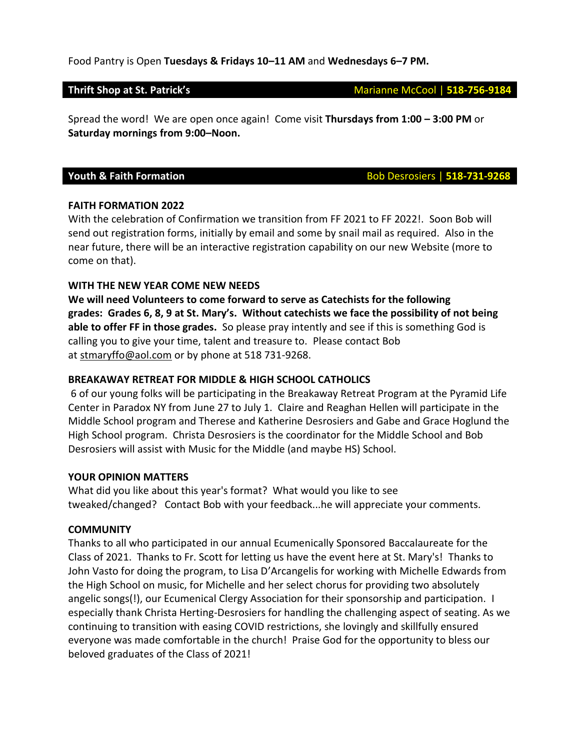#### Food Pantry is Open **Tuesdays & Fridays 10–11 AM** and **Wednesdays 6–7 PM.**

Spread the word! We are open once again! Come visit **Thursdays from 1:00 – 3:00 PM** or **Saturday mornings from 9:00–Noon.**

**Youth & Faith Formation Bob Desrosiers | 518-731-9268** 

#### **FAITH FORMATION 2022**

With the celebration of Confirmation we transition from FF 2021 to FF 2022!. Soon Bob will send out registration forms, initially by email and some by snail mail as required. Also in the near future, there will be an interactive registration capability on our new Website (more to come on that).

#### **WITH THE NEW YEAR COME NEW NEEDS**

**We will need Volunteers to come forward to serve as Catechists for the following grades: Grades 6, 8, 9 at St. Mary's. Without catechists we face the possibility of not being able to offer FF in those grades.** So please pray intently and see if this is something God is calling you to give your time, talent and treasure to. Please contact Bob at [stmaryffo@aol.com](mailto:stmaryffo@aol.com) or by phone at 518 731-9268.

#### **BREAKAWAY RETREAT FOR MIDDLE & HIGH SCHOOL CATHOLICS**

6 of our young folks will be participating in the Breakaway Retreat Program at the Pyramid Life Center in Paradox NY from June 27 to July 1. Claire and Reaghan Hellen will participate in the Middle School program and Therese and Katherine Desrosiers and Gabe and Grace Hoglund the High School program. Christa Desrosiers is the coordinator for the Middle School and Bob Desrosiers will assist with Music for the Middle (and maybe HS) School.

#### **YOUR OPINION MATTERS**

What did you like about this year's format? What would you like to see tweaked/changed? Contact Bob with your feedback...he will appreciate your comments.

#### **COMMUNITY**

Thanks to all who participated in our annual Ecumenically Sponsored Baccalaureate for the Class of 2021. Thanks to Fr. Scott for letting us have the event here at St. Mary's! Thanks to John Vasto for doing the program, to Lisa D'Arcangelis for working with Michelle Edwards from the High School on music, for Michelle and her select chorus for providing two absolutely angelic songs(!), our Ecumenical Clergy Association for their sponsorship and participation. I especially thank Christa Herting-Desrosiers for handling the challenging aspect of seating. As we continuing to transition with easing COVID restrictions, she lovingly and skillfully ensured everyone was made comfortable in the church! Praise God for the opportunity to bless our beloved graduates of the Class of 2021!

#### **Thrift Shop at St. Patrick's** Marianne McCool | 518-756-9184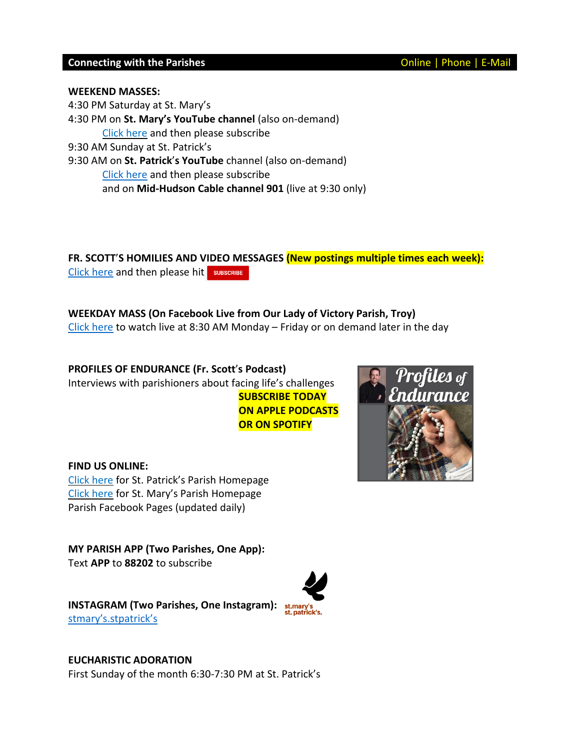### **Connecting with the Parishes Connecting with the Parishes Connecting With the Parishes**

#### **WEEKEND MASSES:**

4:30 PM Saturday at St. Mary's 4:30 PM on **St. Mary's YouTube channel** (also on-demand) Click [here](https://www.youtube.com/channel/UCfROBLJIztwzZryPen47Yig/featured) and then please subscribe 9:30 AM Sunday at St. Patrick's 9:30 AM on **St. Patrick**'**s YouTube** channel (also on-demand) Click [here](https://www.youtube.com/channel/UCIRr4Mwue0TdsuS3HtWm4DA) and then please subscribe and on **Mid-Hudson Cable channel 901** (live at 9:30 only)

**FR. SCOTT**'**S HOMILIES AND VIDEO MESSAGES (New postings multiple times each week):** Click [here](https://www.youtube.com/channel/UCmBzEQRr6ZETPRkYtMaCxJg) and then please hit sUBSCRIBE

### **WEEKDAY MASS (On Facebook Live from Our Lady of Victory Parish, Troy)**

Click [here](https://www.facebook.com/olvols/) to watch live at 8:30 AM Monday – Friday or on demand later in the day

**PROFILES OF ENDURANCE (Fr. Scott**'**s Podcast)** Interviews with parishioners about facing life's challenges **SUBSCRIBE TODAY ON APPLE PODCASTS OR ON SPOTIFY**

**FIND US ONLINE:** Click [here](https://churchofsaintpatrick.wixsite.com/church-ravena) for St. Patrick's Parish Homepage Click [here](https://stmaryscoxsackie.com/) for St. Mary's Parish Homepage Parish Facebook Pages (updated daily)

**MY PARISH APP (Two Parishes, One App):** Text **APP** to **88202** to subscribe

**INSTAGRAM (Two Parishes, One Instagram):** stmary'[s.stpatrick](https://www.instagram.com/stmarys.stpatricks/?igshid=10izyiwmsb7xr)'s

**EUCHARISTIC ADORATION**  First Sunday of the month 6:30-7:30 PM at St. Patrick's